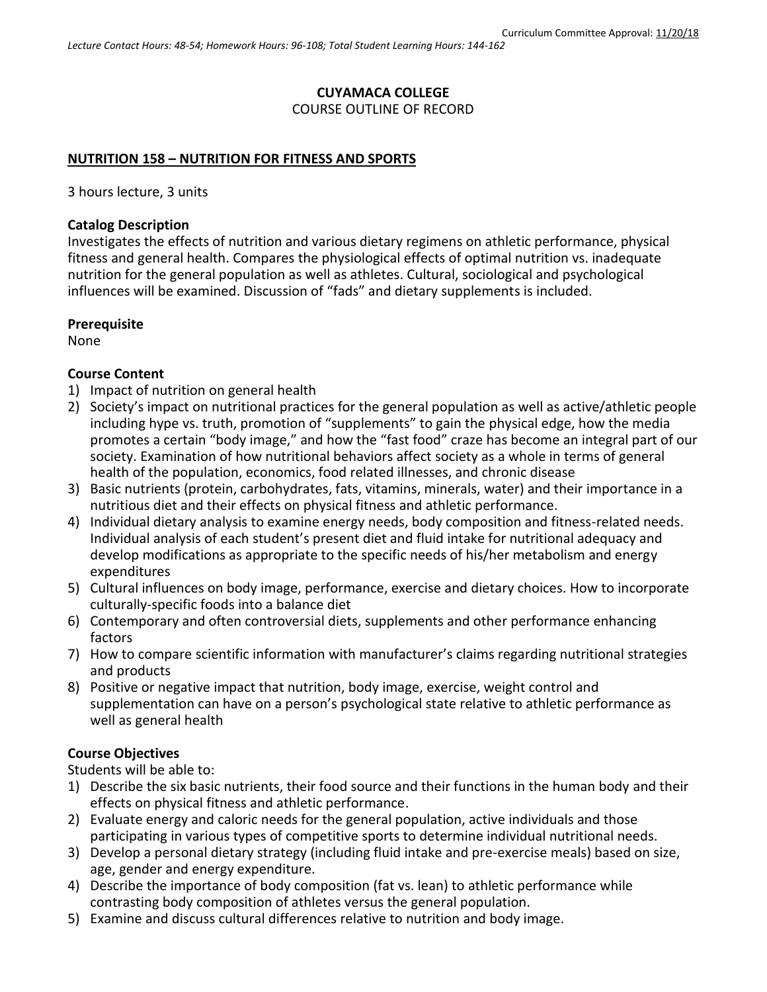# **CUYAMACA COLLEGE**

#### COURSE OUTLINE OF RECORD

### **NUTRITION 158 – NUTRITION FOR FITNESS AND SPORTS**

3 hours lecture, 3 units

### **Catalog Description**

Investigates the effects of nutrition and various dietary regimens on athletic performance, physical fitness and general health. Compares the physiological effects of optimal nutrition vs. inadequate nutrition for the general population as well as athletes. Cultural, sociological and psychological influences will be examined. Discussion of "fads" and dietary supplements is included.

### **Prerequisite**

None

### **Course Content**

- 1) Impact of nutrition on general health
- 2) Society's impact on nutritional practices for the general population as well as active/athletic people including hype vs. truth, promotion of "supplements" to gain the physical edge, how the media promotes a certain "body image," and how the "fast food" craze has become an integral part of our society. Examination of how nutritional behaviors affect society as a whole in terms of general health of the population, economics, food related illnesses, and chronic disease
- 3) Basic nutrients (protein, carbohydrates, fats, vitamins, minerals, water) and their importance in a nutritious diet and their effects on physical fitness and athletic performance.
- 4) Individual dietary analysis to examine energy needs, body composition and fitness-related needs. Individual analysis of each student's present diet and fluid intake for nutritional adequacy and develop modifications as appropriate to the specific needs of his/her metabolism and energy expenditures
- 5) Cultural influences on body image, performance, exercise and dietary choices. How to incorporate culturally-specific foods into a balance diet
- 6) Contemporary and often controversial diets, supplements and other performance enhancing factors
- 7) How to compare scientific information with manufacturer's claims regarding nutritional strategies and products
- 8) Positive or negative impact that nutrition, body image, exercise, weight control and supplementation can have on a person's psychological state relative to athletic performance as well as general health

### **Course Objectives**

Students will be able to:

- 1) Describe the six basic nutrients, their food source and their functions in the human body and their effects on physical fitness and athletic performance.
- 2) Evaluate energy and caloric needs for the general population, active individuals and those participating in various types of competitive sports to determine individual nutritional needs.
- 3) Develop a personal dietary strategy (including fluid intake and pre-exercise meals) based on size, age, gender and energy expenditure.
- 4) Describe the importance of body composition (fat vs. lean) to athletic performance while contrasting body composition of athletes versus the general population.
- 5) Examine and discuss cultural differences relative to nutrition and body image.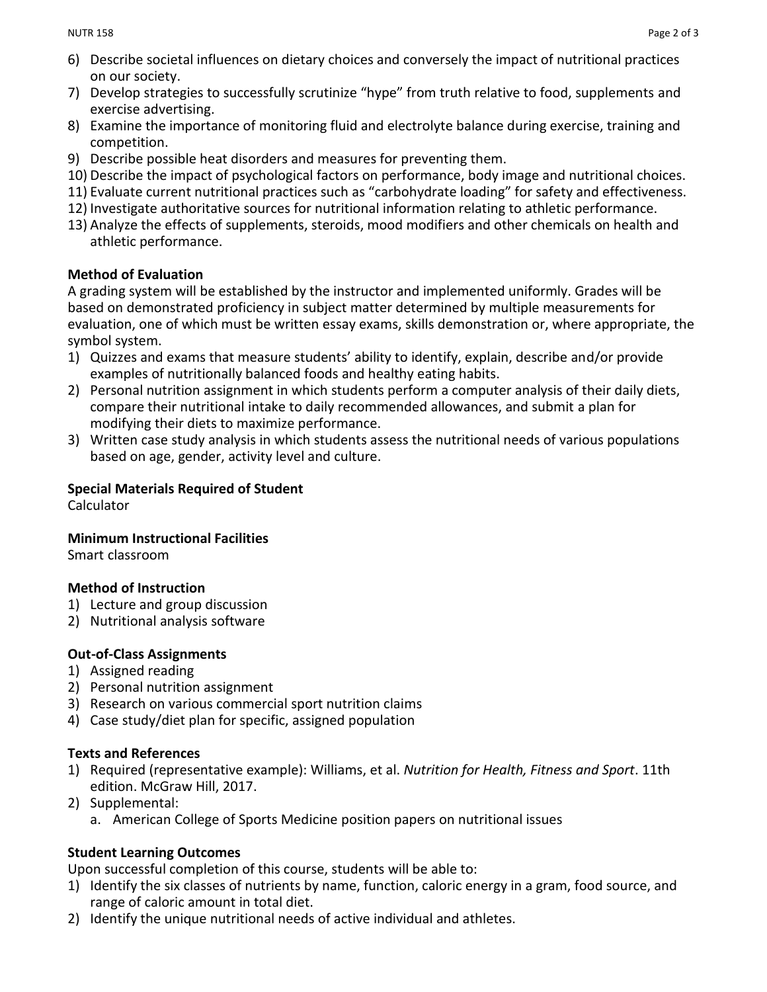- 6) Describe societal influences on dietary choices and conversely the impact of nutritional practices on our society.
- 7) Develop strategies to successfully scrutinize "hype" from truth relative to food, supplements and exercise advertising.
- 8) Examine the importance of monitoring fluid and electrolyte balance during exercise, training and competition.
- 9) Describe possible heat disorders and measures for preventing them.
- 10) Describe the impact of psychological factors on performance, body image and nutritional choices.
- 11) Evaluate current nutritional practices such as "carbohydrate loading" for safety and effectiveness.
- 12) Investigate authoritative sources for nutritional information relating to athletic performance.
- 13) Analyze the effects of supplements, steroids, mood modifiers and other chemicals on health and athletic performance.

## **Method of Evaluation**

A grading system will be established by the instructor and implemented uniformly. Grades will be based on demonstrated proficiency in subject matter determined by multiple measurements for evaluation, one of which must be written essay exams, skills demonstration or, where appropriate, the symbol system.

- 1) Quizzes and exams that measure students' ability to identify, explain, describe and/or provide examples of nutritionally balanced foods and healthy eating habits.
- 2) Personal nutrition assignment in which students perform a computer analysis of their daily diets, compare their nutritional intake to daily recommended allowances, and submit a plan for modifying their diets to maximize performance.
- 3) Written case study analysis in which students assess the nutritional needs of various populations based on age, gender, activity level and culture.

# **Special Materials Required of Student**

Calculator

## **Minimum Instructional Facilities**

Smart classroom

# **Method of Instruction**

- 1) Lecture and group discussion
- 2) Nutritional analysis software

# **Out-of-Class Assignments**

- 1) Assigned reading
- 2) Personal nutrition assignment
- 3) Research on various commercial sport nutrition claims
- 4) Case study/diet plan for specific, assigned population

# **Texts and References**

- 1) Required (representative example): Williams, et al. *Nutrition for Health, Fitness and Sport*. 11th edition. McGraw Hill, 2017.
- 2) Supplemental:
	- a. American College of Sports Medicine position papers on nutritional issues

# **Student Learning Outcomes**

Upon successful completion of this course, students will be able to:

- 1) Identify the six classes of nutrients by name, function, caloric energy in a gram, food source, and range of caloric amount in total diet.
- 2) Identify the unique nutritional needs of active individual and athletes.